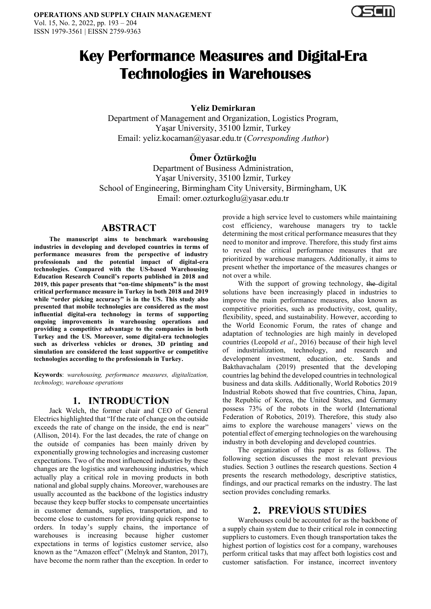

# **Key Performance Measures and Digital-Era Technologies in Warehouses**

**Yeliz Demirkıran**

Department of Management and Organization, Logistics Program, Yaşar University, 35100 İzmir, Turkey Email: yeliz.kocaman@yasar.edu.tr (*Corresponding Author*)

# **Ömer Öztürkoğlu**

Department of Business Administration, Yaşar University, 35100 İzmir, Turkey School of Engineering, Birmingham City University, Birmingham, UK Email: omer.ozturkoglu@yasar.edu.tr

## **ABSTRACT**

**The manuscript aims to benchmark warehousing industries in developing and developed countries in terms of performance measures from the perspective of industry professionals and the potential impact of digital-era technologies. Compared with the US-based Warehousing Education Research Council's reports published in 2018 and 2019, this paper presents that "on-time shipments" is the most critical performance measure in Turkey in both 2018 and 2019 while "order picking accuracy" is in the US. This study also presented that mobile technologies are considered as the most influential digital-era technology in terms of supporting ongoing improvements in warehousing operations and providing a competitive advantage to the companies in both Turkey and the US. Moreover, some digital-era technologies such as driverless vehicles or drones, 3D printing and simulation are considered the least supportive or competitive technologies according to the professionals in Turkey.**

**Keywords**: *warehousing, performance measures, digitalization, technology, warehouse operations*

# **1. INTRODUCTİON**

Jack Welch, the former chair and CEO of General Electrics highlighted that "If the rate of change on the outside exceeds the rate of change on the inside, the end is near" (Allison, 2014). For the last decades, the rate of change on the outside of companies has been mainly driven by exponentially growing technologies and increasing customer expectations. Two of the most influenced industries by these changes are the logistics and warehousing industries, which actually play a critical role in moving products in both national and global supply chains. Moreover, warehouses are usually accounted as the backbone of the logistics industry because they keep buffer stocks to compensate uncertainties in customer demands, supplies, transportation, and to become close to customers for providing quick response to orders. In today's supply chains, the importance of warehouses is increasing because higher customer expectations in terms of logistics customer service, also known as the "Amazon effect" (Melnyk and Stanton, 2017), have become the norm rather than the exception. In order to

provide a high service level to customers while maintaining cost efficiency, warehouse managers try to tackle determining the most critical performance measures that they need to monitor and improve. Therefore, this study first aims to reveal the critical performance measures that are prioritized by warehouse managers. Additionally, it aims to present whether the importance of the measures changes or not over a while.

With the support of growing technology, the digital solutions have been increasingly placed in industries to improve the main performance measures, also known as competitive priorities, such as productivity, cost, quality, flexibility, speed, and sustainability. However, according to the World Economic Forum, the rates of change and adaptation of technologies are high mainly in developed countries (Leopold *et al*., 2016) because of their high level of industrialization, technology, and research and development investment, education, etc. Sands and Bakthavachalam (2019) presented that the developing countries lag behind the developed countries in technological business and data skills. Additionally, World Robotics 2019 Industrial Robots showed that five countries, China, Japan, the Republic of Korea, the United States, and Germany possess 73% of the robots in the world (International Federation of Robotics, 2019). Therefore, this study also aims to explore the warehouse managers' views on the potential effect of emerging technologies on the warehousing industry in both developing and developed countries.

The organization of this paper is as follows. The following section discusses the most relevant previous studies. Section 3 outlines the research questions. Section 4 presents the research methodology, descriptive statistics, findings, and our practical remarks on the industry. The last section provides concluding remarks.

# **2. PREVİOUS STUDİES**

Warehouses could be accounted for as the backbone of a supply chain system due to their critical role in connecting suppliers to customers. Even though transportation takes the highest portion of logistics cost for a company, warehouses perform critical tasks that may affect both logistics cost and customer satisfaction. For instance, incorrect inventory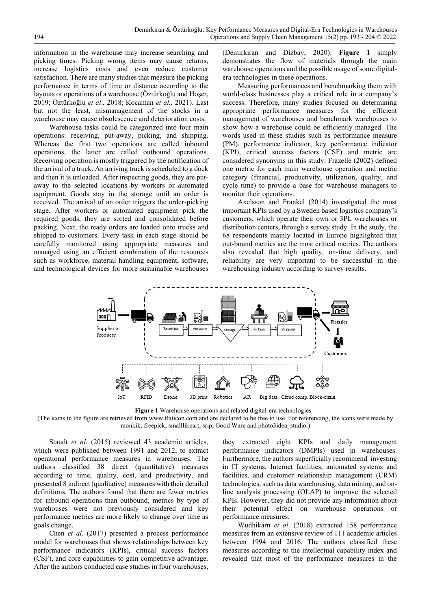information in the warehouse may increase searching and picking times. Picking wrong items may cause returns, increase logistics costs and even reduce customer satisfaction. There are many studies that measure the picking performance in terms of time or distance according to the layouts or operations of a warehouse (Öztürkoğlu and Hoşer, 2019; Öztürkoğlu *et al*., 2018; Kocaman *et al.,* 2021). Last but not the least, mismanagement of the stocks in a warehouse may cause obsolescence and deterioration costs.

Warehouse tasks could be categorized into four main operations: receiving, put-away, picking, and shipping. Whereas the first two operations are called inbound operations, the latter are called outbound operations. Receiving operation is mostly triggered by the notification of the arrival of a truck. An arriving truck is scheduled to a dock and then it is unloaded. After inspecting goods, they are putaway to the selected locations by workers or automated equipment. Goods stay in the storage until an order is received. The arrival of an order triggers the order-picking stage. After workers or automated equipment pick the required goods, they are sorted and consolidated before packing. Next, the ready orders are loaded onto trucks and shipped to customers. Every task in each stage should be carefully monitored using appropriate measures and managed using an efficient combination of the resources such as workforce, material handling equipment, software, and technological devices for more sustainable warehouses

(Demirkıran and Dizbay, 2020). **Figure 1** simply demonstrates the flow of materials through the main warehouse operations and the possible usage of some digitalera technologies in these operations.

Measuring performances and benchmarking them with world-class businesses play a critical role in a company's success. Therefore, many studies focused on determining appropriate performance measures for the efficient management of warehouses and benchmark warehouses to show how a warehouse could be efficiently managed. The words used in these studies such as performance measure (PM), performance indicator, key performance indicator (KPI), critical success factors (CSF) and metric are considered synonyms in this study. Frazelle (2002) defined one metric for each main warehouse operation and metric category (financial, productivity, utilization, quality, and cycle time) to provide a base for warehouse managers to monitor their operations.

Axelsson and Frankel (2014) investigated the most important KPIs used by a Sweden based logistics company's customers, which operate their own or 3PL warehouses or distribution centers, through a survey study. In the study, the 68 respondents mainly located in Europe highlighted that out-bound metrics are the most critical metrics. The authors also revealed that high quality, on-time delivery, and reliability are very important to be successful in the warehousing industry according to survey results.



**Figure 1** Warehouse operations and related digital-era technologies

(The icons in the figure are retrieved from [www.flaticon.com](http://www.flaticon.com/) and are declared to be free to use. For referencing, the icons were made by monkik, freepick, smalllikeart, srip, Good Ware and photo3idea\_studio.)

Staudt *et al*. (2015) reviewed 43 academic articles, which were published between 1991 and 2012, to extract operational performance measures in warehouses. The authors classified 38 direct (quantitative) measures according to time, quality, cost, and productivity, and presented 8 indirect (qualitative) measures with their detailed definitions. The authors found that there are fewer metrics for inbound operations than outbound, metrics by type of warehouses were not previously considered and key performance metrics are more likely to change over time as goals change.

Chen *et al*. (2017) presented a process performance model for warehouses that shows relationships between key performance indicators (KPIs), critical success factors (CSF), and core capabilities to gain competitive advantage. After the authors conducted case studies in four warehouses,

they extracted eight KPIs and daily management performance indicators (DMPIs) used in warehouses. Furthermore, the authors superficially recommend investing in IT systems, Internet facilities, automated systems and facilities, and customer relationship management (CRM) technologies, such as data warehousing, data mining, and online analysis processing (OLAP) to improve the selected KPIs. However, they did not provide any information about their potential effect on warehouse operations or performance measures.

Wudhikarn *et al*. (2018) extracted 158 performance measures from an extensive review of 111 academic articles between 1994 and 2016. The authors classified these measures according to the intellectual capability index and revealed that most of the performance measures in the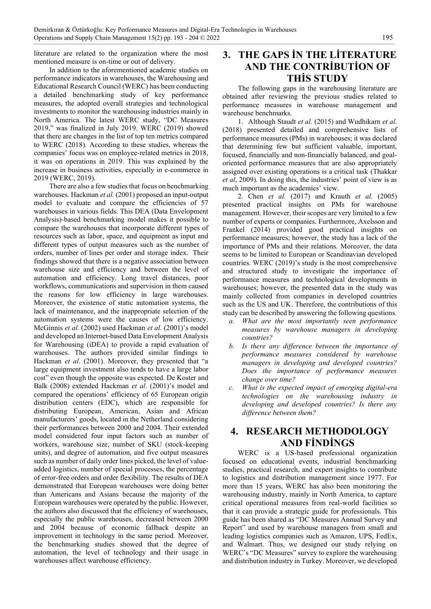literature are related to the organization where the most mentioned measure is on-time or out of delivery.

In addition to the aforementioned academic studies on performance indicators in warehouses, the Warehousing and Educational Research Council (WERC) has been conducting a detailed benchmarking study of key performance measures, the adopted overall strategies and technological investments to monitor the warehousing industries mainly in North America. The latest WERC study, "DC Measures 2019," was finalized in July 2019. WERC (2019) showed that there are changes in the list of top ten metrics compared to WERC (2018). According to these studies, whereas the companies' focus was on employee-related metrics in 2018, it was on operations in 2019. This was explained by the increase in business activities, especially in e-commerce in 2019 (WERC, 2019).

There are also a few studies that focus on benchmarking warehouses. Hackman *et al.* (2001) proposed an input-output model to evaluate and compare the efficiencies of 57 warehouses in various fields. This DEA (Data Envelopment Analysis)-based benchmarking model makes it possible to compare the warehouses that incorporate different types of resources such as labor, space, and equipment as input and different types of output measures such as the number of orders, number of lines per order and storage index. Their findings showed that there is a negative association between warehouse size and efficiency and between the level of automation and efficiency. Long travel distances, poor workflows, communications and supervision in them caused the reasons for low efficiency in large warehouses. Moreover, the existence of static automation systems, the lack of maintenance, and the inappropriate selection of the automation systems were the causes of low efficiency. McGinnis *et al*. (2002) used Hackman *et al*. (2001)'s model and developed an Internet-based Data Envelopment Analysis for Warehousing (iDEA) to provide a rapid evaluation of warehouses. The authors provided similar findings to Hackman *et al*. (2001). Moreover, they presented that "a large equipment investment also tends to have a large labor cost" even though the opposite was expected. De Koster and Balk (2008) extended Hackman *et al*. (2001)'s model and compared the operations' efficiency of 65 European origin distribution centers (EDC), which are responsible for distributing European, American, Asian and African manufacturers' goods, located in the Netherland considering their performances between 2000 and 2004. Their extended model considered four input factors such as number of workers, warehouse size, number of SKU (stock-keeping units), and degree of automation, and five output measures such as number of daily order lines picked, the level of valueadded logistics, number of special processes, the percentage of error-free orders and order flexibility. The results of DEA demonstrated that European warehouses were doing better than Americans and Asians because the majority of the European warehouses were operated by the public. However, the authors also discussed that the efficiency of warehouses, especially the public warehouses, decreased between 2000 and 2004 because of economic fallback despite an improvement in technology in the same period. Moreover, the benchmarking studies showed that the degree of automation, the level of technology and their usage in warehouses affect warehouse efficiency.

# **3. THE GAPS İN THE LİTERATURE AND THE CONTRİBUTİON OF THİS STUDY**

The following gaps in the warehousing literature are obtained after reviewing the previous studies related to performance measures in warehouse management and warehouse benchmarks.

1. Although Staudt *et al.* (2015) and Wudhikarn *et al*. (2018) presented detailed and comprehensive lists of performance measures (PMs) in warehouses; it was declared that determining few but sufficient valuable, important, focused, financially and non-financially balanced, and goaloriented performance measures that are also appropriately assigned over existing operations is a critical task (Thakkar *et al*, 2009). In doing this, the industries' point of view is as much important as the academies' view.

2. Chen *et al.* (2017) and Krauth *et al.* (2005) presented practical insights on PMs for warehouse management. However, their scopes are very limited to a few number of experts or companies. Furthermore, Axelsson and Frankel (2014) provided good practical insights on performance measures; however, the study has a lack of the importance of PMs and their relations. Moreover, the data seems to be limited to European or Scandinavian developed countries. WERC (2019)'s study is the most comprehensive and structured study to investigate the importance of performance measures and technological developments in warehouses; however, the presented data in the study was mainly collected from companies in developed countries such as the US and UK. Therefore, the contributions of this study can be described by answering the following questions.

- *a. What are the most importantly seen performance measures by warehouse managers in developing countries?*
- *b. Is there any difference between the importance of performance measures considered by warehouse managers in developing and developed countries? Does the importance of performance measures change over time?*
- *What is the expected impact of emerging digital-era technologies on the warehousing industry in developing and developed countries? Is there any difference between them?*

# **4. RESEARCH METHODOLOGY AND FİNDİNGS**

WERC is a US-based professional organization focused on educational events, industrial benchmarking studies, practical research, and expert insights to contribute to logistics and distribution management since 1977. For more than 15 years, WERC has also been monitoring the warehousing industry, mainly in North America, to capture critical operational measures from real-world facilities so that it can provide a strategic guide for professionals. This guide has been shared as "DC Measures Annual Survey and Report" and used by warehouse managers from small and leading logistics companies such as Amazon, UPS, FedEx, and Walmart. Thus, we designed our study relying on WERC's "DC Measures" survey to explore the warehousing and distribution industry in Turkey. Moreover, we developed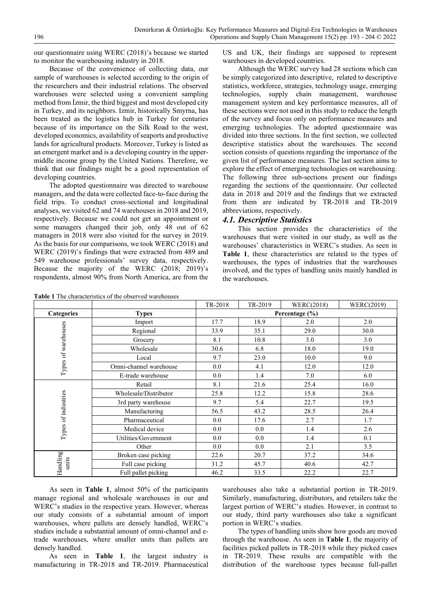our questionnaire using WERC (2018)'s because we started to monitor the warehousing industry in 2018.

Because of the convenience of collecting data, our sample of warehouses is selected according to the origin of the researchers and their industrial relations. The observed warehouses were selected using a convenient sampling method from İzmir, the third biggest and most developed city in Turkey, and its neighbors. Izmir, historically Smyrna, has been treated as the logistics hub in Turkey for centuries because of its importance on the Silk Road to the west, developed economics, availability of seaports and productive lands for agricultural products. Moreover, Turkey is listed as an emergent market and is a developing country in the uppermiddle income group by the United Nations. Therefore, we think that our findings might be a good representation of developing countries.

The adopted questionnaire was directed to warehouse managers, and the data were collected face-to-face during the field trips. To conduct cross-sectional and longitudinal analyses, we visited 62 and 74 warehouses in 2018 and 2019, respectively. Because we could not get an appointment or some managers changed their job, only 48 out of 62 managers in 2018 were also visited for the survey in 2019. As the basis for our comparisons, we took WERC (2018) and WERC (2019)'s findings that were extracted from 489 and 549 warehouse professionals' survey data, respectively. Because the majority of the WERC (2018; 2019)'s respondents, almost 90% from North America, are from the

**Table 1** The characteristics of the observed warehouses

US and UK, their findings are supposed to represent warehouses in developed countries.

Although the WERC survey had 28 sections which can be simply categorized into descriptive, related to descriptive statistics, workforce, strategies, technology usage, emerging technologies, supply chain management, warehouse management system and key performance measures, all of these sections were not used in this study to reduce the length of the survey and focus only on performance measures and emerging technologies. The adopted questionnaire was divided into three sections. In the first section, we collected descriptive statistics about the warehouses. The second section consists of questions regarding the importance of the given list of performance measures. The last section aims to explore the effect of emerging technologies on warehousing. The following three sub-sections present our findings regarding the sections of the questionnaire. Our collected data in 2018 and 2019 and the findings that we extracted from them are indicated by TR-2018 and TR-2019 abbreviations, respectively.

#### *4.1. Descriptive Statistics*

This section provides the characteristics of the warehouses that were visited in our study, as well as the warehouses' characteristics in WERC's studies. As seen in **Table 1**, these characteristics are related to the types of warehouses, the types of industries that the warehouses involved, and the types of handling units mainly handled in the warehouses.

|                     |                        | TR-2018            | TR-2019 | WERC(2018) | WERC(2019) |  |  |
|---------------------|------------------------|--------------------|---------|------------|------------|--|--|
| <b>Categories</b>   | <b>Types</b>           | Percentage $(\% )$ |         |            |            |  |  |
|                     | Import                 | 17.7               | 18.9    | 2.0        | 2.0        |  |  |
|                     | Regional               | 33.9               | 35.1    | 29.0       | 30.0       |  |  |
|                     | Grocery                | 8.1                | 10.8    | 3.0        | 3.0        |  |  |
|                     | Wholesale              | 30.6               | 6.8     | 18.0       | 19.0       |  |  |
|                     | Local                  | 9.7                | 23.0    | 10.0       | 9.0        |  |  |
| Types of warehouses | Omni-channel warehouse | $0.0\,$            | 4.1     | 12.0       | 12.0       |  |  |
|                     | E-trade warehouse      | $0.0\,$            | 1.4     | 7.0        | 6.0        |  |  |
|                     | Retail                 | 8.1                | 21.6    | 25.4       | 16.0       |  |  |
|                     | Wholesale/Distributor  | 25.8               | 12.2    | 15.8       | 28.6       |  |  |
| Types of industries | 3rd party warehouse    | 9.7                | 5.4     | 22.7       | 19.5       |  |  |
|                     | Manufacturing          | 56.5               | 43.2    | 28.5       | 26.4       |  |  |
|                     | Pharmaceutical         | $0.0\,$            | 17.6    | 2.7        | 1.7        |  |  |
|                     | Medical device         | $0.0\,$            | 0.0     | 1.4        | 2.6        |  |  |
|                     | Utilities/Government   | 0.0                | 0.0     | 1.4        | 0.1        |  |  |
|                     | Other                  | 0.0                | 0.0     | 2.1        | 3.5        |  |  |
|                     | Broken case picking    | 22.6               | 20.7    | 37.2       | 34.6       |  |  |
| Handling<br>units   | Full case picking      | 31.2               | 45.7    | 40.6       | 42.7       |  |  |
|                     | Full pallet picking    | 46.2               | 33.5    | 22.2       | 22.7       |  |  |

As seen in **Table 1**, almost 50% of the participants manage regional and wholesale warehouses in our and WERC's studies in the respective years. However, whereas our study consists of a substantial amount of import warehouses, where pallets are densely handled, WERC's studies include a substantial amount of omni-channel and etrade warehouses, where smaller units than pallets are densely handled.

As seen in **Table 1**, the largest industry is manufacturing in TR-2018 and TR-2019. Pharmaceutical

warehouses also take a substantial portion in TR-2019. Similarly, manufacturing, distributors, and retailers take the largest portion of WERC's studies. However, in contrast to our study, third party warehouses also take a significant portion in WERC's studies.

The types of handling units show how goods are moved through the warehouse. As seen in **Table 1**, the majority of facilities picked pallets in TR-2018 while they picked cases in TR-2019. These results are compatible with the distribution of the warehouse types because full-pallet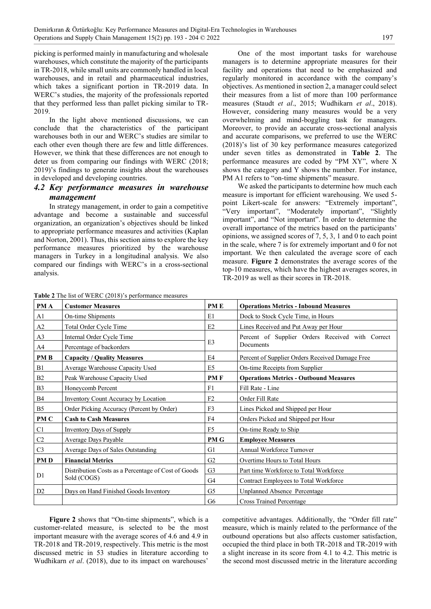picking is performed mainly in manufacturing and wholesale warehouses, which constitute the majority of the participants in TR-2018, while small units are commonly handled in local warehouses, and in retail and pharmaceutical industries, which takes a significant portion in TR-2019 data. In WERC's studies, the majority of the professionals reported that they performed less than pallet picking similar to TR-2019.

In the light above mentioned discussions, we can conclude that the characteristics of the participant warehouses both in our and WERC's studies are similar to each other even though there are few and little differences. However, we think that these differences are not enough to deter us from comparing our findings with WERC (2018; 2019)'s findings to generate insights about the warehouses in developed and developing countries.

### *4.2 Key performance measures in warehouse management*

In strategy management, in order to gain a competitive advantage and become a sustainable and successful organization, an organization's objectives should be linked to appropriate performance measures and activities (Kaplan and Norton, 2001). Thus, this section aims to explore the key performance measures prioritized by the warehouse managers in Turkey in a longitudinal analysis. We also compared our findings with WERC's in a cross-sectional analysis.

One of the most important tasks for warehouse managers is to determine appropriate measures for their facility and operations that need to be emphasized and regularly monitored in accordance with the company's objectives. As mentioned in section 2, a manager could select their measures from a list of more than 100 performance measures (Staudt *et al*., 2015; Wudhikarn *et al*., 2018). However, considering many measures would be a very overwhelming and mind-boggling task for managers. Moreover, to provide an accurate cross-sectional analysis and accurate comparisons, we preferred to use the WERC (2018)'s list of 30 key performance measures categorized under seven titles as demonstrated in **Table 2**. The performance measures are coded by "PM XY", where X shows the category and Y shows the number. For instance, PM A1 refers to "on-time shipments" measure.

We asked the participants to determine how much each measure is important for efficient warehousing. We used 5 point Likert-scale for answers: "Extremely important", "Very important", "Moderately important", "Slightly important", and "Not important". In order to determine the overall importance of the metrics based on the participants' opinions, we assigned scores of 7, 5, 3, 1 and 0 to each point in the scale, where 7 is for extremely important and 0 for not important. We then calculated the average score of each measure. **Figure 2** demonstrates the average scores of the top-10 measures, which have the highest averages scores, in TR-2019 as well as their scores in TR-2018.

| PM A           | <b>Customer Measures</b>                            | PM E           | <b>Operations Metrics - Inbound Measures</b>     |
|----------------|-----------------------------------------------------|----------------|--------------------------------------------------|
| A1             | On-time Shipments                                   | E1             | Dock to Stock Cycle Time, in Hours               |
| A2             | Total Order Cycle Time                              | E2             | Lines Received and Put Away per Hour             |
| A <sub>3</sub> | Internal Order Cycle Time                           |                | Percent of Supplier Orders Received with Correct |
| A <sub>4</sub> | Percentage of backorders                            | E3             | Documents                                        |
| <b>PMB</b>     | <b>Capacity / Quality Measures</b>                  | E4             | Percent of Supplier Orders Received Damage Free  |
| B1             | Average Warehouse Capacity Used                     | E <sub>5</sub> | On-time Receipts from Supplier                   |
| B <sub>2</sub> | Peak Warehouse Capacity Used                        | <b>PMF</b>     | <b>Operations Metrics - Outbound Measures</b>    |
| B <sub>3</sub> | Honeycomb Percent                                   | F1             | Fill Rate - Line                                 |
| <b>B4</b>      | Inventory Count Accuracy by Location                | F2             | Order Fill Rate                                  |
| B <sub>5</sub> | Order Picking Accuracy (Percent by Order)           | F <sub>3</sub> | Lines Picked and Shipped per Hour                |
| PM C           | <b>Cash to Cash Measures</b>                        | F4             | Orders Picked and Shipped per Hour               |
| C1             | Inventory Days of Supply                            | F <sub>5</sub> | On-time Ready to Ship                            |
| C <sub>2</sub> | Average Days Payable                                | <b>PMG</b>     | <b>Employee Measures</b>                         |
| C <sub>3</sub> | Average Days of Sales Outstanding                   | G1             | Annual Workforce Turnover                        |
| <b>PMD</b>     | <b>Financial Metrics</b>                            | G <sub>2</sub> | Overtime Hours to Total Hours                    |
|                | Distribution Costs as a Percentage of Cost of Goods | G <sub>3</sub> | Part time Workforce to Total Workforce           |
| D <sub>1</sub> | Sold (COGS)                                         | G <sub>4</sub> | Contract Employees to Total Workforce            |
| D <sub>2</sub> | Days on Hand Finished Goods Inventory               | G <sub>5</sub> | Unplanned Absence Percentage                     |
|                |                                                     | G <sub>6</sub> | <b>Cross Trained Percentage</b>                  |

**Table 2** The list of WERC (2018)'s performance measures

**Figure 2** shows that "On-time shipments", which is a customer-related measure, is selected to be the most important measure with the average scores of 4.6 and 4.9 in TR-2018 and TR-2019, respectively. This metric is the most discussed metric in 53 studies in literature according to Wudhikarn *et al*. (2018), due to its impact on warehouses'

competitive advantages. Additionally, the "Order fill rate" measure, which is mainly related to the performance of the outbound operations but also affects customer satisfaction, occupied the third place in both TR-2018 and TR-2019 with a slight increase in its score from 4.1 to 4.2. This metric is the second most discussed metric in the literature according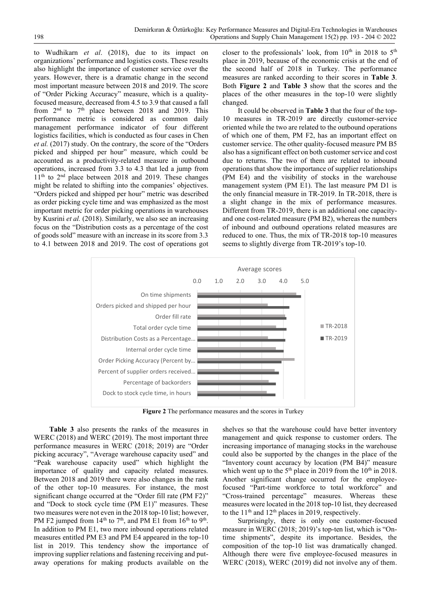to Wudhikarn *et al*. (2018), due to its impact on organizations' performance and logistics costs. These results also highlight the importance of customer service over the years. However, there is a dramatic change in the second most important measure between 2018 and 2019. The score of "Order Picking Accuracy" measure, which is a qualityfocused measure, decreased from 4.5 to 3.9 that caused a fall from 2<sup>nd</sup> to 7<sup>th</sup> place between 2018 and 2019. This performance metric is considered as common daily management performance indicator of four different logistics facilities, which is conducted as four cases in Chen *et al.* (2017) study. On the contrary, the score of the "Orders picked and shipped per hour" measure, which could be accounted as a productivity-related measure in outbound operations, increased from 3.3 to 4.3 that led a jump from 11<sup>th</sup> to 2<sup>nd</sup> place between 2018 and 2019. These changes might be related to shifting into the companies' objectives. "Orders picked and shipped per hour" metric was described as order picking cycle time and was emphasized as the most important metric for order picking operations in warehouses by Kusrini *et al.* (2018). Similarly, we also see an increasing focus on the "Distribution costs as a percentage of the cost of goods sold" measure with an increase in its score from 3.3 to 4.1 between 2018 and 2019. The cost of operations got

closer to the professionals' look, from  $10^{th}$  in 2018 to  $5^{th}$ place in 2019, because of the economic crisis at the end of the second half of 2018 in Turkey. The performance measures are ranked according to their scores in **Table 3**. Both **Figure 2** and **Table 3** show that the scores and the places of the other measures in the top-10 were slightly changed.

It could be observed in **Table 3** that the four of the top-10 measures in TR-2019 are directly customer-service oriented while the two are related to the outbound operations of which one of them, PM F2, has an important effect on customer service. The other quality-focused measure PM B5 also has a significant effect on both customer service and cost due to returns. The two of them are related to inbound operations that show the importance of supplier relationships (PM E4) and the visibility of stocks in the warehouse management system (PM E1). The last measure PM D1 is the only financial measure in TR-2019. In TR-2018, there is a slight change in the mix of performance measures. Different from TR-2019, there is an additional one capacityand one cost-related measure (PM B2), whereas the numbers of inbound and outbound operations related measures are reduced to one. Thus, the mix of TR-2018 top-10 measures seems to slightly diverge from TR-2019's top-10.



**Figure 2** The performance measures and the scores in Turkey

**Table 3** also presents the ranks of the measures in WERC (2018) and WERC (2019). The most important three performance measures in WERC (2018; 2019) are "Order picking accuracy", "Average warehouse capacity used" and "Peak warehouse capacity used" which highlight the importance of quality and capacity related measures. Between 2018 and 2019 there were also changes in the rank of the other top-10 measures. For instance, the most significant change occurred at the "Order fill rate (PM F2)" and "Dock to stock cycle time (PM E1)" measures. These two measures were not even in the 2018 top-10 list; however, PM F2 jumped from  $14<sup>th</sup>$  to  $7<sup>th</sup>$ , and PM E1 from  $16<sup>th</sup>$  to  $9<sup>th</sup>$ . In addition to PM E1, two more inbound operations related measures entitled PM E3 and PM E4 appeared in the top-10 list in 2019. This tendency show the importance of improving supplier relations and fastening receiving and putaway operations for making products available on the

shelves so that the warehouse could have better inventory management and quick response to customer orders. The increasing importance of managing stocks in the warehouse could also be supported by the changes in the place of the "Inventory count accuracy by location (PM B4)" measure which went up to the  $5<sup>th</sup>$  place in 2019 from the 10<sup>th</sup> in 2018. Another significant change occurred for the employeefocused "Part-time workforce to total workforce" and "Cross-trained percentage" measures. Whereas these measures were located in the 2018 top-10 list, they decreased to the  $11<sup>th</sup>$  and  $12<sup>th</sup>$  places in 2019, respectively.

Surprisingly, there is only one customer-focused measure in WERC (2018; 2019)'s top-ten list, which is "Ontime shipments", despite its importance. Besides, the composition of the top-10 list was dramatically changed. Although there were five employee-focused measures in WERC (2018), WERC (2019) did not involve any of them.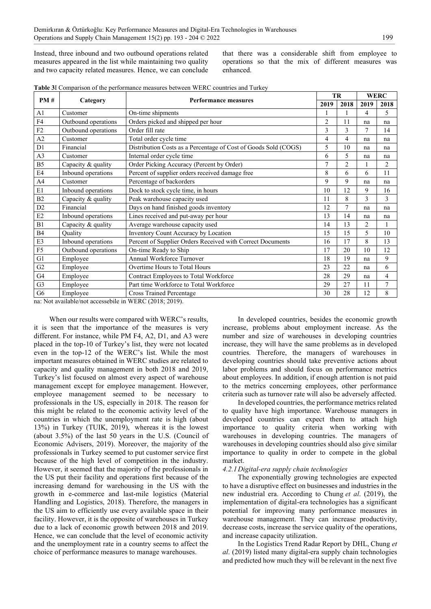Instead, three inbound and two outbound operations related measures appeared in the list while maintaining two quality and two capacity related measures. Hence, we can conclude

that there was a considerable shift from employee to operations so that the mix of different measures was enhanced.

| <b>Table 3</b> I Comparison of the performance measures between WERC countries and Turkey |  |  |  |
|-------------------------------------------------------------------------------------------|--|--|--|
|-------------------------------------------------------------------------------------------|--|--|--|

| PM#            |                     |                                                                 |                | <b>TR</b>      |                | <b>WERC</b>    |  |
|----------------|---------------------|-----------------------------------------------------------------|----------------|----------------|----------------|----------------|--|
|                | Category            | <b>Performance measures</b>                                     | 2019           | 2018           | 2019           | 2018           |  |
| A1             | Customer            | On-time shipments                                               |                |                | 4              | 5              |  |
| F <sub>4</sub> | Outbound operations | Orders picked and shipped per hour                              | $\overline{2}$ | 11             | na             | na             |  |
| F2             | Outbound operations | Order fill rate                                                 | 3              | 3              | 7              | 14             |  |
| A2             | Customer            | Total order cycle time                                          | 4              | 4              | na             | na             |  |
| D1             | Financial           | Distribution Costs as a Percentage of Cost of Goods Sold (COGS) | 5              | 10             | na             | na             |  |
| A3             | Customer            | Internal order cycle time                                       | 6              | 5              | na             | na             |  |
| B <sub>5</sub> | Capacity & quality  | Order Picking Accuracy (Percent by Order)                       | 7              | $\overline{2}$ |                | 2              |  |
| E4             | Inbound operations  | Percent of supplier orders received damage free                 | 8              | 6              | 6              | 11             |  |
| A <sub>4</sub> | Customer            | Percentage of backorders                                        | 9              | 9              | na             | na             |  |
| E1             | Inbound operations  | Dock to stock cycle time, in hours                              | 10             | 12             | 9              | 16             |  |
| B2             | Capacity & quality  | Peak warehouse capacity used                                    | 11             | 8              | $\mathfrak{Z}$ | 3              |  |
| D2             | Financial           | Days on hand finished goods inventory                           | 12             | $\overline{7}$ | na             | na             |  |
| E2             | Inbound operations  | Lines received and put-away per hour                            | 13             | 14             | na             | na             |  |
| B1             | Capacity & quality  | Average warehouse capacity used                                 | 14             | 13             | 2              |                |  |
| <b>B4</b>      | Quality             | Inventory Count Accuracy by Location                            | 15             | 15             | 5              | 10             |  |
| E3             | Inbound operations  | Percent of Supplier Orders Received with Correct Documents      | 16             | 17             | 8              | 13             |  |
| F <sub>5</sub> | Outbound operations | On-time Ready to Ship                                           | 17             | 20             | 10             | 12             |  |
| G1             | Employee            | Annual Workforce Turnover                                       | 18             | 19             | na             | 9              |  |
| G2             | Employee            | Overtime Hours to Total Hours                                   | 23             | 22             | na             | 6              |  |
| G <sub>4</sub> | Employee            | Contract Employees to Total Workforce                           | 28             | 29             | na             | 4              |  |
| G <sub>3</sub> | Employee            | Part time Workforce to Total Workforce                          | 29             | 27             | 11             | $\overline{7}$ |  |
| G <sub>6</sub> | Employee            | <b>Cross Trained Percentage</b>                                 | 30             | 28             | 12             | 8              |  |

na: Not available/not accessebile in WERC (2018; 2019).

When our results were compared with WERC's results, it is seen that the importance of the measures is very different. For instance, while PM F4, A2, D1, and A3 were placed in the top-10 of Turkey's list, they were not located even in the top-12 of the WERC's list. While the most important measures obtained in WERC studies are related to capacity and quality management in both 2018 and 2019, Turkey's list focused on almost every aspect of warehouse management except for employee management. However, employee management seemed to be necessary to professionals in the US, especially in 2018. The reason for this might be related to the economic activity level of the countries in which the unemployment rate is high (about 13%) in Turkey (TUIK, 2019), whereas it is the lowest (about 3.5%) of the last 50 years in the U.S. (Council of Economic Advisers, 2019). Moreover, the majority of the professionals in Turkey seemed to put customer service first because of the high level of competition in the industry. However, it seemed that the majority of the professionals in the US put their facility and operations first because of the increasing demand for warehousing in the US with the growth in e-commerce and last-mile logistics (Material Handling and Logistics, 2018). Therefore, the managers in the US aim to efficiently use every available space in their facility. However, it is the opposite of warehouses in Turkey due to a lack of economic growth between 2018 and 2019. Hence, we can conclude that the level of economic activity and the unemployment rate in a country seems to affect the choice of performance measures to manage warehouses.

In developed countries, besides the economic growth increase, problems about employment increase. As the number and size of warehouses in developing countries increase, they will have the same problems as in developed countries. Therefore, the managers of warehouses in developing countries should take preventive actions about labor problems and should focus on performance metrics about employees. In addition, if enough attention is not paid to the metrics concerning employees, other performance criteria such as turnover rate will also be adversely affected.

In developed countries, the performance metrics related to quality have high importance. Warehouse managers in developed countries can expect them to attach high importance to quality criteria when working with warehouses in developing countries. The managers of warehouses in developing countries should also give similar importance to quality in order to compete in the global market.

#### *4.2.1Digital-era supply chain technologies*

The exponentially growing technologies are expected to have a disruptive effect on businesses and industries in the new industrial era. According to Chung *et al*. (2019), the implementation of digital-era technologies has a significant potential for improving many performance measures in warehouse management. They can increase productivity, decrease costs, increase the service quality of the operations, and increase capacity utilization.

In the Logistics Trend Radar Report by DHL, Chung *et al*. (2019) listed many digital-era supply chain technologies and predicted how much they will be relevant in the next five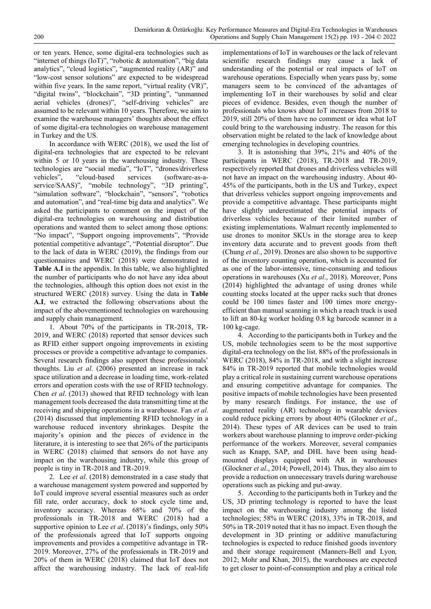or ten years. Hence, some digital-era technologies such as "internet of things (IoT)", "robotic & automation", "big data analytics", "cloud logistics", "augmented reality (AR)" and "low-cost sensor solutions" are expected to be widespread within five years. In the same report, "virtual reality (VR)", "digital twins", "blockchain", "3D printing", "unmanned aerial vehicles (drones)", "self-driving vehicles" are assumed to be relevant within 10 years. Therefore, we aim to examine the warehouse managers' thoughts about the effect of some digital-era technologies on warehouse management in Turkey and the US.

In accordance with WERC (2018), we used the list of digital-era technologies that are expected to be relevant within 5 or 10 years in the warehousing industry. These technologies are "social media", "IoT", "drones/driverless vehicles", "cloud-based services (software-as-aservice/SAAS)", "mobile technology", "3D printing", "simulation software", "blockchain", "sensors", "robotics and automation", and "real-time big data and analytics". We asked the participants to comment on the impact of the digital-era technologies on warehousing and distribution operations and wanted them to select among those options: "No impact", "Support ongoing improvements", "Provide potential competitive advantage", "Potential disruptor". Due to the lack of data in WERC (2019), the findings from our questionnaires and WERC (2018) were demonstrated in **Table A.I** in the appendix. In this table, we also highlighted the number of participants who do not have any idea about the technologies, although this option does not exist in the structured WERC (2018) survey. Using the data in **Table A.I**, we extracted the following observations about the impact of the abovementioned technologies on warehousing and supply chain management.

1. About 70% of the participants in TR-2018, TR-2019, and WERC (2018) reported that sensor devices such as RFID either support ongoing improvements in existing processes or provide a competitive advantage to companies. Several research findings also support these professionals' thoughts. Liu *et al*. (2006) presented an increase in rack space utilization and a decrease in loading time, work-related errors and operation costs with the use of RFID technology. Chen *et al*. (2013) showed that RFID technology with lean management tools decreased the data transmitting time at the receiving and shipping operations in a warehouse. Fan *et al*. (2014) discussed that implementing RFID technology in a warehouse reduced inventory shrinkages. Despite the majority's opinion and the pieces of evidence in the literature, it is interesting to see that 26% of the participants in WERC (2018) claimed that sensors do not have any impact on the warehousing industry, while this group of people is tiny in TR-2018 and TR-2019.

2. Lee *et al*. (2018) demonstrated in a case study that a warehouse management system powered and supported by IoT could improve several essential measures such as order fill rate, order accuracy, dock to stock cycle time and, inventory accuracy. Whereas 68% and 70% of the professionals in TR-2018 and WERC (2018) had a supportive opinion to Lee *et al*. (2018)'s findings, only 50% of the professionals agreed that IoT supports ongoing improvements and provides a competitive advantage in TR-2019. Moreover, 27% of the professionals in TR-2019 and 20% of them in WERC (2018) claimed that IoT does not affect the warehousing industry. The lack of real-life

implementations of IoT in warehouses or the lack of relevant scientific research findings may cause a lack of understanding of the potential or real impacts of IoT on warehouse operations. Especially when years pass by, some managers seem to be convinced of the advantages of implementing IoT in their warehouses by solid and clear pieces of evidence. Besides, even though the number of professionals who knows about IoT increases from 2018 to 2019, still 20% of them have no comment or idea what IoT could bring to the warehousing industry. The reason for this observation might be related to the lack of knowledge about emerging technologies in developing countries.

3. It is astonishing that 39%, 21% and 40% of the participants in WERC (2018), TR-2018 and TR-2019, respectively reported that drones and driverless vehicles will not have an impact on the warehousing industry. About 40- 45% of the participants, both in the US and Turkey, expect that driverless vehicles support ongoing improvements and provide a competitive advantage. These participants might have slightly underestimated the potential impacts of driverless vehicles because of their limited number of existing implementations. Walmart recently implemented to use drones to monitor SKUs in the storage area to keep inventory data accurate and to prevent goods from theft (Chung *et al*., 2019). Drones are also shown to be supportive of the inventory counting operation, which is accounted for as one of the labor-intensive, time-consuming and tedious operations in warehouses (Xu *et al*., 2018). Moreover, Pons (2014) highlighted the advantage of using drones while counting stocks located at the upper racks such that drones could be 100 times faster and 100 times more energyefficient than manual scanning in which a reach truck is used to lift an 80-kg worker holding 0.8 kg barcode scanner in a 100 kg-cage.

4. According to the participants both in Turkey and the US, mobile technologies seem to be the most supportive digital-era technology on the list. 88% of the professionals in WERC (2018), 84% in TR-2018, and with a slight increase 84% in TR-2019 reported that mobile technologies would play a critical role in sustaining current warehouse operations and ensuring competitive advantage for companies. The positive impacts of mobile technologies have been presented by many research findings. For instance, the use of augmented reality (AR) technology in wearable devices could reduce picking errors by about 40% (Glockner *et al*., 2014). These types of AR devices can be used to train workers about warehouse planning to improve order-picking performance of the workers. Moreover, several companies such as Knapp, SAP, and DHL have been using headmounted displays equipped with AR in warehouses (Glockner *et al*., 2014; Powell, 2014). Thus, they also aim to provide a reduction on unnecessary travels during warehouse operations such as picking and put-away.

5. According to the participants both in Turkey and the US, 3D printing technology is reported to have the least impact on the warehousing industry among the listed technologies; 58% in WERC (2018), 33% in TR-2018, and 50% in TR-2019 noted that it has no impact. Even though the development in 3D printing or additive manufacturing technologies is expected to reduce finished goods inventory and their storage requirement (Manners-Bell and Lyon*,*  2012; Mohr and Khan, 2015), the warehouses are expected to get closer to point-of-consumption and play a critical role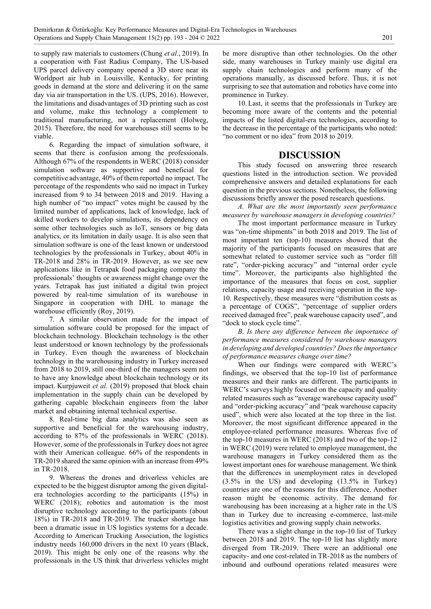to supply raw materials to customers (Chung *et al*., 2019). In a cooperation with Fast Radius Company, The US-based UPS parcel delivery company opened a 3D store near its Worldport air hub in Louisville, Kentucky, for printing goods in demand at the store and delivering it on the same day via air transportation in the US. (UPS, 2016). However, the limitations and disadvantages of 3D printing such as cost and volume, make this technology a complement to traditional manufacturing, not a replacement (Holweg, 2015). Therefore, the need for warehouses still seems to be viable.

6. Regarding the impact of simulation software, it seems that there is confusion among the professionals. Although 67% of the respondents in WERC (2018) consider simulation software as supportive and beneficial for competitive advantage, 40% of them reported no impact. The percentage of the respondents who said no impact in Turkey increased from 9 to 34 between 2018 and 2019. Having a high number of "no impact" votes might be caused by the limited number of applications, lack of knowledge, lack of skilled workers to develop simulations, its dependency on some other technologies such as IoT, sensors or big data analytics, or its limitation in daily usage. It is also seen that simulation software is one of the least known or understood technologies by the professionals in Turkey, about 40% in TR-2018 and 28% in TR-2019. However, as we see new applications like in Tetrapak food packaging company the professionals' thoughts or awareness might change over the years. Tetrapak has just initiated a digital twin project powered by real-time simulation of its warehouse in Singapore in cooperation with DHL to manage the warehouse efficiently (Roy, 2019).

7. A similar observation made for the impact of simulation software could be proposed for the impact of blockchain technology. Blockchain technology is the other least understood or known technology by the professionals in Turkey. Even though the awareness of blockchain technology in the warehousing industry in Turkey increased from 2018 to 2019, still one-third of the managers seem not to have any knowledge about blockchain technology or its impact. Kurpjuweit *et al.* (2019) proposed that block chain implementation in the supply chain can be developed by gathering capable blockchain engineers from the labor market and obtaining internal technical expertise.

8. Real-time big data analytics was also seen as supportive and beneficial for the warehousing industry, according to 87% of the professionals in WERC (2018). However, some of the professionals in Turkey does not agree with their American colleague. 66% of the respondents in TR-2019 shared the same opinion with an increase from 49% in TR-2018.

9. Whereas the drones and driverless vehicles are expected to be the biggest disruptor among the given digitalera technologies according to the participants (15%) in WERC (2018); robotics and automation is the most disruptive technology according to the participants (about 18%) in TR-2018 and TR-2019. The trucker shortage has been a dramatic issue in US logistics systems for a decade. According to American Trucking Association, the logistics industry needs 160,000 drivers in the next 10 years (Black, 2019). This might be only one of the reasons why the professionals in the US think that driverless vehicles might

be more disruptive than other technologies. On the other side, many warehouses in Turkey mainly use digital era supply chain technologies and perform many of the operations manually, as discussed before. Thus, it is not surprising to see that automation and robotics have come into prominence in Turkey.

10.Last, it seems that the professionals in Turkey are becoming more aware of the contents and the potential impacts of the listed digital-era technologies, according to the decrease in the percentage of the participants who noted: "no comment or no idea" from 2018 to 2019.

### **DISCUSSION**

This study focused on answering three research questions listed in the introduction section. We provided comprehensive answers and detailed explanations for each question in the previous sections. Nonetheless, the following discussions briefly answer the posed research questions.

*A. What are the most importantly seen performance measures by warehouse managers in developing countries?* 

The most important performance measure in Turkey was "on-time shipments" in both 2018 and 2019. The list of most important ten (top-10) measures showed that the majority of the participants focused on measures that are somewhat related to customer service such as "order fill rate", "order-picking accuracy" and "internal order cycle time". Moreover, the participants also highlighted the importance of the measures that focus on cost, supplier relations, capacity usage and receiving operation in the top-10. Respectively, these measures were "distribution costs as a percentage of COGS", "percentage of supplier orders received damaged free", peak warehouse capacity used", and "dock to stock cycle time".

*B. Is there any difference between the importance of performance measures considered by warehouse managers in developing and developed countries? Does the importance of performance measures change over time?*

When our findings were compared with WERC's findings, we observed that the top-10 list of performance measures and their ranks are different. The participants in WERC's surveys highly focused on the capacity and quality related measures such as "average warehouse capacity used" and "order-picking accuracy" and "peak warehouse capacity used", which were also located at the top three in the list. Moreover, the most significant difference appeared in the employee-related performance measures. Whereas five of the top-10 measures in WERC (2018) and two of the top-12 in WERC (2019) were related to employee management, the warehouse managers in Turkey considered them as the lowest important ones for warehouse management. We think that the differences in unemployment rates in developed (3.5% in the US) and developing (13.5% in Turkey) countries are one of the reasons for this difference. Another reason might be economic activity. The demand for warehousing has been increasing at a higher rate in the US than in Turkey due to increasing e-commerce, last-mile logistics activities and growing supply chain networks.

There was a slight change in the top-10 list of Turkey between 2018 and 2019. The top-10 list has slightly more diverged from TR-2019. There were an additional one capacity- and one cost-related in TR-2018 as the numbers of inbound and outbound operations related measures were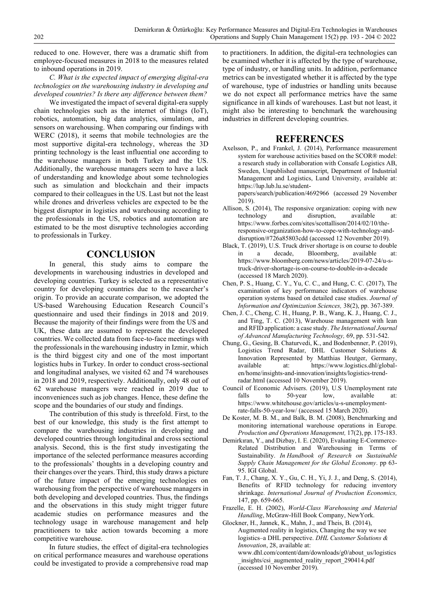reduced to one. However, there was a dramatic shift from employee-focused measures in 2018 to the measures related to inbound operations in 2019.

*C. What is the expected impact of emerging digital-era technologies on the warehousing industry in developing and developed countries? Is there any difference between them?* 

We investigated the impact of several digital-era supply chain technologies such as the internet of things (IoT), robotics, automation, big data analytics, simulation, and sensors on warehousing. When comparing our findings with WERC (2018), it seems that mobile technologies are the most supportive digital-era technology, whereas the 3D printing technology is the least influential one according to the warehouse managers in both Turkey and the US. Additionally, the warehouse managers seem to have a lack of understanding and knowledge about some technologies such as simulation and blockchain and their impacts compared to their colleagues in the US. Last but not the least while drones and driverless vehicles are expected to be the biggest disruptor in logistics and warehousing according to the professionals in the US, robotics and automation are estimated to be the most disruptive technologies according to professionals in Turkey.

### **CONCLUSION**

In general, this study aims to compare the developments in warehousing industries in developed and developing countries. Turkey is selected as a representative country for developing countries due to the researcher's origin. To provide an accurate comparison, we adopted the US-based Warehousing Education Research Council's questionnaire and used their findings in 2018 and 2019. Because the majority of their findings were from the US and UK, these data are assumed to represent the developed countries. We collected data from face-to-face meetings with the professionals in the warehousing industry in Izmir, which is the third biggest city and one of the most important logistics hubs in Turkey. In order to conduct cross-sectional and longitudinal analyses, we visited 62 and 74 warehouses in 2018 and 2019, respectively. Additionally, only 48 out of 62 warehouse managers were reached in 2019 due to inconveniences such as job changes. Hence, these define the scope and the boundaries of our study and findings.

The contribution of this study is threefold. First, to the best of our knowledge, this study is the first attempt to compare the warehousing industries in developing and developed countries through longitudinal and cross sectional analysis. Second, this is the first study investigating the importance of the selected performance measures according to the professionals' thoughts in a developing country and their changes over the years. Third, this study draws a picture of the future impact of the emerging technologies on warehousing from the perspective of warehouse managers in both developing and developed countries. Thus, the findings and the observations in this study might trigger future academic studies on performance measures and the technology usage in warehouse management and help practitioners to take action towards becoming a more competitive warehouse.

In future studies, the effect of digital-era technologies on critical performance measures and warehouse operations could be investigated to provide a comprehensive road map to practitioners. In addition, the digital-era technologies can be examined whether it is affected by the type of warehouse, type of industry, or handling units. In addition, performance metrics can be investigated whether it is affected by the type of warehouse, type of industries or handling units because we do not expect all performance metrics have the same significance in all kinds of warehouses. Last but not least, it might also be interesting to benchmark the warehousing industries in different developing countries.

### **REFERENCES**

Axelsson, P., and Frankel, J. (2014), Performance measurement system for warehouse activities based on the SCOR® model: a research study in collaboration with Consafe Logistics AB, Sweden, Unpublished manuscript, Department of Industrial Management and Logistics, Lund University, available at: https://lup.lub.lu.se/student-

papers/search/publication/4692966 (accessed 29 November 2019).

- Allison, S. (2014), The responsive organization: coping with new technology and disruption, available at: https://www.forbes.com/sites/scottallison/2014/02/10/theresponsive-organization-how-to-cope-with-technology-anddisruption/#726a85803cdd (accessed 12 November 2019).
- Black, T. (2019), U.S. Truck driver shortage is on course to double in a decade, Bloomberg, available at: https://www.bloomberg.com/news/articles/2019-07-24/u-struck-driver-shortage-is-on-course-to-double-in-a-decade (accessed 18 March 2020).
- Chen, P. S., Huang, C. Y., Yu, C. C., and Hung, C. C. (2017), The examination of key performance indicators of warehouse operation systems based on detailed case studies. *Journal of Information and Optimization Sciences,* 38(2), pp. 367-389.
- Chen, J. C., Cheng, C. H., Huang, P. B., Wang, K. J., Huang, C. J., and Ting, T. C. (2013), Warehouse management with lean and RFID application: a case study. *The International Journal of Advanced Manufacturing Technology,* 69, pp. 531-542.
- Chung, G., Gesing, B. Chaturvedi, K., and Bodenbenner, P. (2019), Logistics Trend Radar, DHL Customer Solutions & Innovation Represented by Matthias Heutger, Germany, available at: https://www.logistics.dhl/globalen/home/insights-and-innovation/insights/logistics-trendradar.html (accessed 10 November 2019).
- Council of Economic Advisers. (2019), U.S Unemployment rate falls to 50-year low, available at: https://www.whitehouse.gov/articles/u-s-unemploymentrate-falls-50-year-low/ (accessed 15 March 2020).
- De Koster, M. B. M., and Balk, B. M. (2008), Benchmarking and monitoring international warehouse operations in Europe*. Production and Operations Management,* 17(2), pp. 175-183.
- Demirkıran, Y., and Dizbay, I. E. (2020), Evaluating E-Commerce-Related Distribution and Warehousing in Terms of Sustainability. *In Handbook of Research on Sustainable Supply Chain Management for the Global Economy*. pp 63- 95. IGI Global.
- Fan, T. J., Chang, X. Y., Gu, C. H., Yi, J. J., and Deng, S. (2014), Benefits of RFID technology for reducing inventory shrinkage. *International Journal of Production Economics,* 147, pp. 659-665.
- Frazelle, E. H. (2002), *World-Class Warehousing and Material Handling*, McGraw-Hill Book Company, NewYork.
- Glockner, H., Jannek, K., Mahn, J., and Theis, B. (2014), Augmented reality in logistics, Changing the way we see logistics–a DHL perspective. *DHL Customer Solutions & Innovation*, 28, available at: www.dhl.com/content/dam/downloads/g0/about\_us/logistics insights/csi\_augmented\_reality\_report\_290414.pdf (accessed 10 November 2019).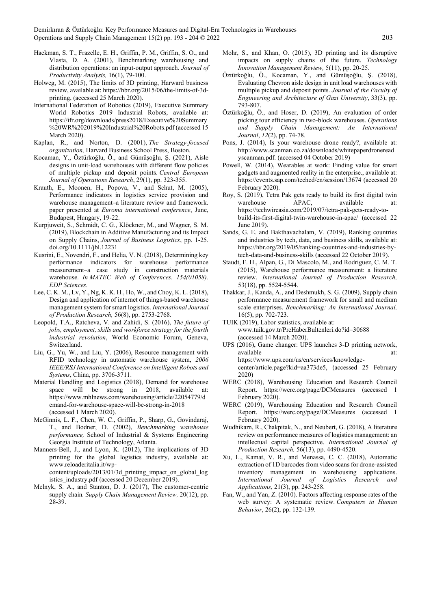- Hackman, S. T., Frazelle, E. H., Griffin, P. M., Griffin, S. O., and Vlasta, D. A. (2001), Benchmarking warehousing and distribution operations: an input-output approach. *Journal of Productivity Analysis,* 16(1), 79-100.
- Holweg, M. (2015), The limits of 3D printing, Harward business review, available at: https://hbr.org/2015/06/the-limits-of-3dprinting, (accessed 25 March 2020).
- International Federation of Robotics (2019), Executive Summary World Robotics 2019 Industrial Robots, available at: https://ifr.org/downloads/press2018/Executive%20Summary %20WR%202019%20Industrial%20Robots.pdf (accessed 15 March 2020).
- Kaplan, R., and Norton, D. (2001), *The Strategy-focused organization,* Harvard Business School Press, Boston*.*
- Kocaman, Y., Öztürkoğlu, Ö., and Gümüşoğlu, Ş. (2021), Aisle designs in unit-load warehouses with different flow policies of multiple pickup and deposit points. *Central European Journal of Operations Research*, 29(1), pp. 323-355.
- Krauth, E., Moonen, H., Popova, V., and Schut, M. (2005), Performance indicators in logistics service provision and warehouse management–a literature review and framework. paper presented at *Euroma international conference*, June, Budapest, Hungary, 19-22.
- Kurpjuweit, S., Schmidt, C. G., Klöckner, M., and Wagner, S. M. (2019), Blockchain in Additive Manufacturing and its Impact on Supply Chains, *Journal of Business Logistics*, pp. 1-25. doi.org/10.1111/jbl.12231
- Kusrini, E., Novendri, F., and Helia, V. N. (2018), Determining key performance indicators for warehouse performance measurement–a case study in construction materials warehouse. *In MATEC Web of Conferences. 154(01058). EDP Sciences.*
- Lee, C. K. M., Lv, Y., Ng, K. K. H., Ho, W., and Choy, K. L. (2018), Design and application of internet of things-based warehouse management system for smart logistics. *International Journal of Production Research,* 56(8), pp. 2753-2768.
- Leopold, T.A., Ratcheva, V. and Zahidi, S. (2016), *The future of jobs, employment, skills and workforce strategy for the fourth industrial revolution*, World Economic Forum, Geneva, Switzerland.
- Liu, G., Yu, W., and Liu, Y. (2006), Resource management with RFID technology in automatic warehouse system, *2006 IEEE/RSJ International Conference on Intelligent Robots and Systems*, China, pp. 3706-3711.
- Material Handling and Logistics (2018), Demand for warehouse space will be strong in 2018, available at: https://www.mhlnews.com/warehousing/article/22054779/d emand-for-warehouse-space-will-be-strong-in-2018 (accessed 1 March 2020).
- McGinnis, L. F., Chen, W. C., Griffin, P., Sharp, G., Govindaraj, T., and Bodner, D. (2002), *Benchmarking warehouse performance,* School of Industrial & Systems Engineering Georgia Institute of Technology, Atlanta.
- Manners-Bell, J., and Lyon, K. (2012), The implications of 3D printing for the global logistics industry, available at: www.reloaderitalia.it/wpcontent/uploads/2013/01/3d printing impact on global log istics industry.pdf (accessed 20 December 2019).
- Melnyk, S. A., and Stanton, D. J. (2017), The customer-centric supply chain*. Supply Chain Management Review,* 20(12), pp. 28-39.
- Mohr, S., and Khan, O. (2015), 3D printing and its disruptive impacts on supply chains of the future. *Technology Innovation Management Review,* 5(11), pp. 20-25.
- Öztürkoğlu, Ö., Kocaman, Y., and Gümüşoğlu, Ş. (2018), Evaluating Chevron aisle design in unit load warehouses with multiple pickup and deposit points. *Journal of the Faculty of Engineering and Architecture of Gazi University*, 33(3), pp. 793-807.
- Öztürkoğlu, Ö., and Hoser, D. (2019), An evaluation of order picking tour efficiency in two-block warehouses. *Operations and Supply Chain Management: An International Journal*, *12*(2), pp. 74-78.
- Pons, J. (2014), Is your warehouse drone ready?, available at: http://www.scanman.co.za/downloads/whitepaperdroneread yscanman.pdf. (accessed 04 October 2019)
- Powell, W. (2014), Wearables at work: Finding value for smart gadgets and augmented reality in the enterprise., available at: https://events.sap.com/teched/en/session/13674 (accessed 20 February 2020).
- Roy, S. (2019), Tetra Pak gets ready to build its first digital twin warehouse APAC, available at: https://techwireasia.com/2019/07/tetra-pak-gets-ready-tobuild-its-first-digital-twin-warehouse-in-apac/ (accessed 22 June 2019).
- Sands, G. E. and Bakthavachalam, V. (2019), Ranking countries and industries by tech, data, and business skills, available at: https://hbr.org/2019/05/ranking-countries-and-industries-bytech-data-and-business-skills (accessed 22 October 2019).
- Staudt, F. H., Alpan, G., Di Mascolo, M., and Rodriguez, C. M. T. (2015), Warehouse performance measurement: a literature review. *International Journal of Production Research,* 53(18), pp. 5524-5544.
- Thakkar, J., Kanda, A., and Deshmukh, S. G. (2009), Supply chain performance measurement framework for small and medium scale enterprises. *Benchmarking: An International Journal,* 16(5), pp. 702-723.
- TUIK (2019), Labor statistics, available at: www.tuik.gov.tr/PreHaberBultenleri.do?id=30688 (accessed 14 March 2020).
- UPS (2016), Game changer: UPS launches 3-D printing network, available https://www.ups.com/us/en/services/knowledgecenter/article.page?kid=aa373de5, (accessed 25 February 2020)
- WERC (2018), Warehousing Education and Research Council Report. https://werc.org/page/DCMeasures (accessed 1 February 2020).
- WERC (2019), Warehousing Education and Research Council Report. https://werc.org/page/DCMeasures (accessed 1 February 2020).
- Wudhikarn, R., Chakpitak, N., and Neubert, G. (2018), A literature review on performance measures of logistics management: an intellectual capital perspective. *International Journal of Production Research,* 56(13), pp. 4490-4520.
- Xu, L., Kamat, V. R., and Menassa, C. C. (2018), Automatic extraction of 1D barcodes from video scans for drone-assisted inventory management in warehousing applications. *International Journal of Logistics Research and Applications,* 21(3), pp. 243-258.
- Fan, W., and Yan, Z. (2010). Factors affecting response rates of the web survey: A systematic review. *Computers in Human Behavior*, 26(2), pp. 132-139.